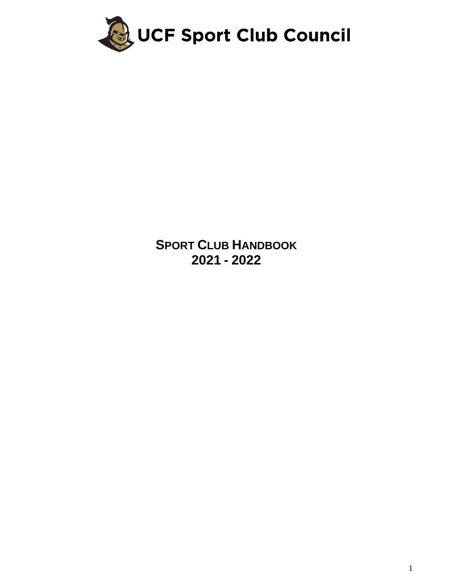

**SPORT CLUB HANDBOOK - 2022**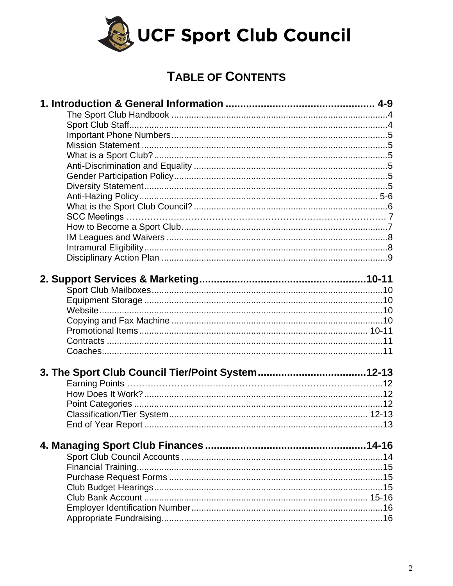

# **TABLE OF CONTENTS**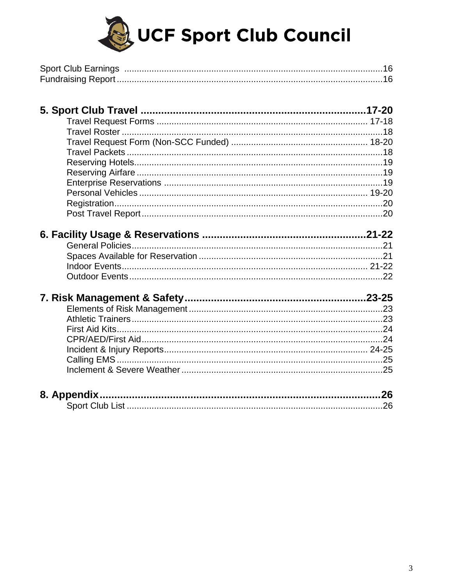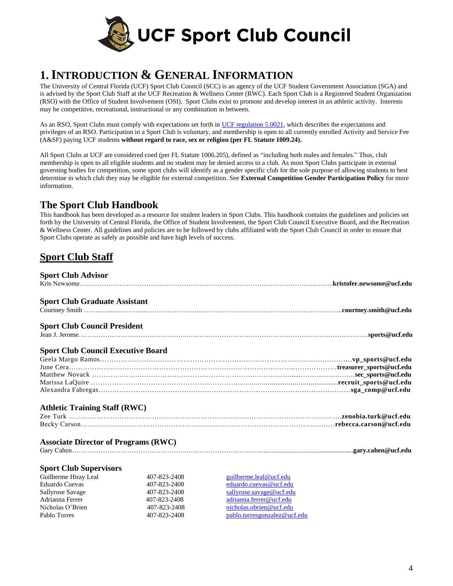

# **1.INTRODUCTION & GENERAL INFORMATION**

The University of Central Florida (UCF) Sport Club Council (SCC) is an agency of the UCF Student Government Association (SGA) and is advised by the Sport Club Staff at the UCF Recreation & Wellness Center (RWC). Each Sport Club is a Registered Student Organization (RSO) with the Office of Student Involvement (OSI). Sport Clubs exist to promote and develop interest in an athletic activity. Interests may be competitive, recreational, instructional or any combination in between.

As an RSO, Sport Clubs must comply with expectations set forth i[n UCF regulation 5.0021,](https://regulations.ucf.edu/chapter5/documents/5.0021StudentGovtandRSOsFINALJuly16.pdf) which describes the expectations and privileges of an RSO. Participation in a Sport Club is voluntary, and membership is open to all currently enrolled Activity and Service Fee (A&SF) paying UCF students **without regard to race, sex or religion (per FL Statute 1009.24).**

All Sport Clubs at UCF are considered coed (per FL Statute 1006.205), defined as "including both males and females." Thus, club membership is open to all eligible students and no student may be denied access to a club. As most Sport Clubs participate in external governing bodies for competition, some sport clubs will identify as a gender specific club for the sole purpose of allowing students to best determine in which club they may be eligible for external competition. See **External Competition Gender Participation Policy** for more information.

## **The Sport Club Handbook**

This handbook has been developed as a resource for student leaders in Sport Clubs. This handbook contains the guidelines and policies set forth by the University of Central Florida, the Office of Student Involvement, the Sport Club Council Executive Board, and the Recreation & Wellness Center. All guidelines and policies are to be followed by clubs affiliated with the Sport Club Council in order to ensure that Sport Clubs operate as safely as possible and have high levels of success.

## **Sport Club Staff**

| <b>Sport Club Advisor</b>                   |              |                          |
|---------------------------------------------|--------------|--------------------------|
| <b>Sport Club Graduate Assistant</b>        |              |                          |
|                                             |              |                          |
| <b>Sport Club Council President</b>         |              |                          |
|                                             |              |                          |
| <b>Sport Club Council Executive Board</b>   |              |                          |
|                                             |              |                          |
|                                             |              |                          |
|                                             |              |                          |
|                                             |              |                          |
|                                             |              |                          |
| <b>Athletic Training Staff (RWC)</b>        |              |                          |
|                                             |              |                          |
|                                             |              |                          |
| <b>Associate Director of Programs (RWC)</b> |              |                          |
|                                             |              |                          |
| <b>Sport Club Supervisors</b>               |              |                          |
| Guilherme Hiray Leal                        | 407-823-2408 | guilherme.leal@ucf.edu   |
| Eduardo Cuevas                              | 407-823-2408 | eduardo.cuevas@ucf.edu   |
| Sallyrose Savage                            | 407-823-2408 | sallyrose.savage@ucf.edu |

Adrianna Ferrer 407-823-2408 [adrianna.ferrer@ucf.edu](mailto:adrianna.ferrer@ucf.edu) Nicholas O'Brien 407-823-2408 [nicholas.obrien@ucf.edu](mailto:nicholas.obrien@ucf.edu) Pablo Torres **107-823-2408** [pablo.torresgonzalez@ucf.edu](mailto:pablo.torresgonzalez@ucf.edu)

4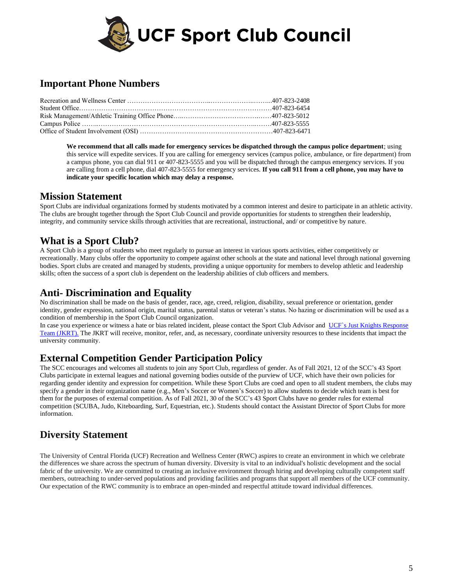

# **Important Phone Numbers**

**We recommend that all calls made for emergency services be dispatched through the campus police department**; using this service will expedite services. If you are calling for emergency services (campus police, ambulance, or fire department) from a campus phone, you can dial 911 or 407-823-5555 and you will be dispatched through the campus emergency services. If you are calling from a cell phone, dial 407-823-5555 for emergency services. **If you call 911 from a cell phone, you may have to indicate your specific location which may delay a response.**

### **Mission Statement**

Sport Clubs are individual organizations formed by students motivated by a common interest and desire to participate in an athletic activity. The clubs are brought together through the Sport Club Council and provide opportunities for students to strengthen their leadership, integrity, and community service skills through activities that are recreational, instructional, and/ or competitive by nature.

# **What is a Sport Club?**

A Sport Club is a group of students who meet regularly to pursue an interest in various sports activities, either competitively or recreationally. Many clubs offer the opportunity to compete against other schools at the state and national level through national governing bodies. Sport clubs are created and managed by students, providing a unique opportunity for members to develop athletic and leadership skills; often the success of a sport club is dependent on the leadership abilities of club officers and members.

### **Anti- Discrimination and Equality**

No discrimination shall be made on the basis of gender, race, age, creed, religion, disability, sexual preference or orientation, gender identity, gender expression, national origin, marital status, parental status or veteran's status. No hazing or discrimination will be used as a condition of membership in the Sport Club Council organization.

In case you experience or witness a hate or bias related incident, please contact the Sport Club Advisor and UCF's Just Knights Response [Team \(JKRT\).](https://jkrt.sdes.ucf.edu/) The JKRT will receive, monitor, refer, and, as necessary, coordinate university resources to these incidents that impact the university community.

### **External Competition Gender Participation Policy**

The SCC encourages and welcomes all students to join any Sport Club, regardless of gender. As of Fall 2021, 12 of the SCC's 43 Sport Clubs participate in external leagues and national governing bodies outside of the purview of UCF, which have their own policies for regarding gender identity and expression for competition. While these Sport Clubs are coed and open to all student members, the clubs may specify a gender in their organization name (e.g., Men's Soccer or Women's Soccer) to allow students to decide which team is best for them for the purposes of external competition. As of Fall 2021, 30 of the SCC's 43 Sport Clubs have no gender rules for external competition (SCUBA, Judo, Kiteboarding, Surf, Equestrian, etc.). Students should contact the Assistant Director of Sport Clubs for more information.

# **Diversity Statement**

The University of Central Florida (UCF) Recreation and Wellness Center (RWC) aspires to create an environment in which we celebrate the differences we share across the spectrum of human diversity. Diversity is vital to an individual's holistic development and the social fabric of the university. We are committed to creating an inclusive environment through hiring and developing culturally competent staff members, outreaching to under-served populations and providing facilities and programs that support all members of the UCF community. Our expectation of the RWC community is to embrace an open-minded and respectful attitude toward individual differences.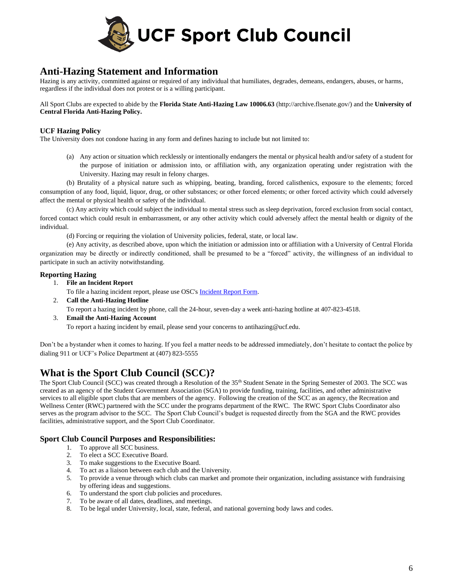

### **Anti-Hazing Statement and Information**

Hazing is any activity, committed against or required of any individual that humiliates, degrades, demeans, endangers, abuses, or harms, regardless if the individual does not protest or is a willing participant.

All Sport Clubs are expected to abide by the **Florida State Anti-Hazing Law 10006.63** [\(http://archive.flsenate.gov/\)](http://archive.flsenate.gov/Statutes/index.cfm?App_mode=Display_Statute&Search_String=&URL=1000-1099/1006/Sections/1006.63.html) and the **University of Central Florida Anti-Hazing Policy.**

### **UCF Hazing Policy**

The University does not condone hazing in any form and defines hazing to include but not limited to:

(a) Any action or situation which recklessly or intentionally endangers the mental or physical health and/or safety of a student for the purpose of initiation or admission into, or affiliation with, any organization operating under registration with the University. Hazing may result in felony charges.

(b) Brutality of a physical nature such as whipping, beating, branding, forced calisthenics, exposure to the elements; forced consumption of any food, liquid, liquor, drug, or other substances; or other forced elements; or other forced activity which could adversely affect the mental or physical health or safety of the individual.

(c) Any activity which could subject the individual to mental stress such as sleep deprivation, forced exclusion from social contact, forced contact which could result in embarrassment, or any other activity which could adversely affect the mental health or dignity of the individual.

(d) Forcing or requiring the violation of University policies, federal, state, or local law.

(e) Any activity, as described above, upon which the initiation or admission into or affiliation with a University of Central Florida organization may be directly or indirectly conditioned, shall be presumed to be a "forced" activity, the willingness of an individual to participate in such an activity notwithstanding.

### **Reporting Hazing**

1. **File an Incident Report**

To file a hazing incident report, please use OSC's **[Incident Report Form.](https://osc.sdes.ucf.edu/incidentreport/)** 

2. **Call the Anti-Hazing Hotline**

To report a hazing incident by phone, call the 24-hour, seven-day a week anti-hazing hotline at 407-823-4518.

3. **Email the Anti-Hazing Account** To report a hazing incident by email, please send your concerns to [antihazing@ucf.edu.](mailto:antihazing@ucf.edu)

Don't be a bystander when it comes to hazing. If you feel a matter needs to be addressed immediately, don't hesitate to contact the police by dialing 911 or [UCF's Police Department](http://police.ucf.edu/) at (407) 823-5555

# **What is the Sport Club Council (SCC)?**

The Sport Club Council (SCC) was created through a Resolution of the 35<sup>th</sup> Student Senate in the Spring Semester of 2003. The SCC was created as an agency of the Student Government Association (SGA) to provide funding, training, facilities, and other administrative services to all eligible sport clubs that are members of the agency. Following the creation of the SCC as an agency, the Recreation and Wellness Center (RWC) partnered with the SCC under the programs department of the RWC. The RWC Sport Clubs Coordinator also serves as the program advisor to the SCC. The Sport Club Council's budget is requested directly from the SGA and the RWC provides facilities, administrative support, and the Sport Club Coordinator.

### **Sport Club Council Purposes and Responsibilities:**

- 1. To approve all SCC business.
- 2. To elect a SCC Executive Board.
- 3. To make suggestions to the Executive Board.
- 4. To act as a liaison between each club and the University.
- 5. To provide a venue through which clubs can market and promote their organization, including assistance with fundraising by offering ideas and suggestions.
- 6. To understand the sport club policies and procedures.
- 7. To be aware of all dates, deadlines, and meetings.
- 8. To be legal under University, local, state, federal, and national governing body laws and codes.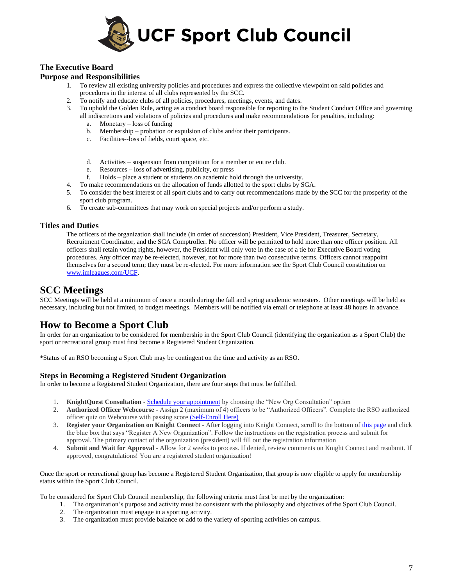

### **The Executive Board**

### **Purpose and Responsibilities**

- 1. To review all existing university policies and procedures and express the collective viewpoint on said policies and procedures in the interest of all clubs represented by the SCC.
- 2. To notify and educate clubs of all policies, procedures, meetings, events, and dates.
- 3. To uphold the Golden Rule, acting as a conduct board responsible for reporting to the Student Conduct Office and governing all indiscretions and violations of policies and procedures and make recommendations for penalties, including:
	- a. Monetary loss of funding
	- b. Membership probation or expulsion of clubs and/or their participants.
	- c. Facilities--loss of fields, court space, etc.
	- d. Activities suspension from competition for a member or entire club.
	- e. Resources loss of advertising, publicity, or press
	- f. Holds place a student or students on academic hold through the university.
- 4. To make recommendations on the allocation of funds allotted to the sport clubs by SGA.
- 5. To consider the best interest of all sport clubs and to carry out recommendations made by the SCC for the prosperity of the sport club program.
- 6. To create sub-committees that may work on special projects and/or perform a study.

### **Titles and Duties**

The officers of the organization shall include (in order of succession) President, Vice President, Treasurer, Secretary, Recruitment Coordinator, and the SGA Comptroller. No officer will be permitted to hold more than one officer position. All officers shall retain voting rights, however, the President will only vote in the case of a tie for Executive Board voting procedures. Any officer may be re-elected, however, not for more than two consecutive terms. Officers cannot reappoint themselves for a second term; they must be re-elected. For more information see the Sport Club Council constitution on [www.imleagues.com/UCF.](http://www.imleagues.com/UCF)

### **SCC Meetings**

SCC Meetings will be held at a minimum of once a month during the fall and spring academic semesters. Other meetings will be held as necessary, including but not limited, to budget meetings. Members will be notified via email or telephone at least 48 hours in advance.

### **How to Become a Sport Club**

In order for an organization to be considered for membership in the Sport Club Council (identifying the organization as a Sport Club) the sport or recreational group must first become a Registered Student Organization.

\*Status of an RSO becoming a Sport Club may be contingent on the time and activity as an RSO.

### **Steps in Becoming a Registered Student Organization**

In order to become a Registered Student Organization, there are four steps that must be fulfilled.

- 1. **KnightQuest Consultation** [Schedule your appointment](https://calendly.com/kortoutreach) by choosing the "New Org Consultation" option
- 2. **Authorized Officer Webcourse** Assign 2 (maximum of 4) officers to be "Authorized Officers". Complete the RSO authorized officer quiz on Webcourse with passing score [\(Self-Enroll Here\)](https://webcourses.ucf.edu/enroll/NGL6EM)
- 3. **Register your Organization on Knight Connect** After logging into Knight Connect, scroll to the bottom of [this page](https://knightconnect.campuslabs.com/engage/register) and click the blue box that says "Register A New Organization". Follow the instructions on the registration process and submit for approval. The primary contact of the organization (president) will fill out the registration information
- 4. **Submit and Wait for Approval** Allow for 2 weeks to process. If denied, review comments on Knight Connect and resubmit. If approved, congratulations! You are a registered student organization!

Once the sport or recreational group has become a Registered Student Organization, that group is now eligible to apply for membership status within the Sport Club Council.

To be considered for Sport Club Council membership, the following criteria must first be met by the organization:

- 1. The organization's purpose and activity must be consistent with the philosophy and objectives of the Sport Club Council.
- 2. The organization must engage in a sporting activity.
- 3. The organization must provide balance or add to the variety of sporting activities on campus.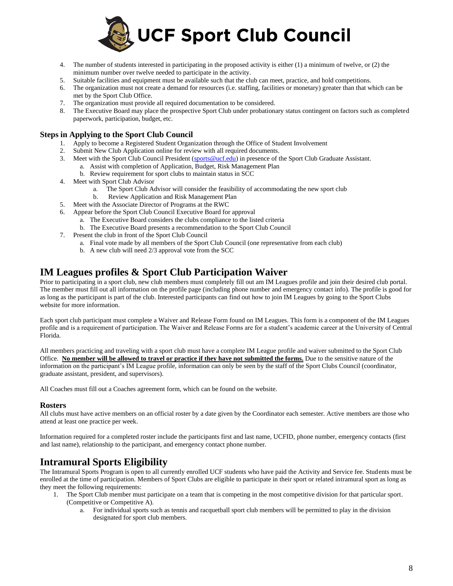

- 4. The number of students interested in participating in the proposed activity is either (1) a minimum of twelve, or (2) the minimum number over twelve needed to participate in the activity.
- 5. Suitable facilities and equipment must be available such that the club can meet, practice, and hold competitions.
- 6. The organization must not create a demand for resources (i.e. staffing, facilities or monetary) greater than that which can be met by the Sport Club Office.
- 7. The organization must provide all required documentation to be considered.
- 8. The Executive Board may place the prospective Sport Club under probationary status contingent on factors such as completed paperwork, participation, budget, etc.

#### **Steps in Applying to the Sport Club Council**

- 1. Apply to become a Registered Student Organization through the Office of Student Involvement
- 2. Submit New Club Application online for review with all required documents.
- 3. Meet with the Sport Club Council President [\(sports@ucf.edu\)](mailto:sports@ucf.edu) in presence of the Sport Club Graduate Assistant. a. Assist with completion of Application, Budget, Risk Management Plan
	- b. Review requirement for sport clubs to maintain status in SCC
- 4. Meet with Sport Club Advisor
	- a. The Sport Club Advisor will consider the feasibility of accommodating the new sport club
	- b. Review Application and Risk Management Plan
- 5. Meet with the Associate Director of Programs at the RWC
- 6. Appear before the Sport Club Council Executive Board for approval
	- a. The Executive Board considers the clubs compliance to the listed criteria
	- b. The Executive Board presents a recommendation to the Sport Club Council
- 7. Present the club in front of the Sport Club Council
	- a. Final vote made by all members of the Sport Club Council (one representative from each club)
	- b. A new club will need 2/3 approval vote from the SCC

### **IM Leagues profiles & Sport Club Participation Waiver**

Prior to participating in a sport club, new club members must completely fill out am IM Leagues profile and join their desired club portal. The member must fill out all information on the profile page (including phone number and emergency contact info). The profile is good for as long as the participant is part of the club. Interested participants can find out how to join IM Leagues by going to the Sport Clubs website for more information.

Each sport club participant must complete a Waiver and Release Form found on IM Leagues. This form is a component of the IM Leagues profile and is a requirement of participation. The Waiver and Release Forms are for a student's academic career at the University of Central Florida.

All members practicing and traveling with a sport club must have a complete IM League profile and waiver submitted to the Sport Club Office. **No member will be allowed to travel or practice if they have not submitted the forms.** Due to the sensitive nature of the information on the participant's IM League profile, information can only be seen by the staff of the Sport Clubs Council (coordinator, graduate assistant, president, and supervisors).

All Coaches must fill out a Coaches agreement form, which can be found on the website.

#### **Rosters**

All clubs must have active members on an official roster by a date given by the Coordinator each semester. Active members are those who attend at least one practice per week.

Information required for a completed roster include the participants first and last name, UCFID, phone number, emergency contacts (first and last name), relationship to the participant, and emergency contact phone number.

### **Intramural Sports Eligibility**

The Intramural Sports Program is open to all currently enrolled UCF students who have paid the Activity and Service fee. Students must be enrolled at the time of participation. Members of Sport Clubs are eligible to participate in their sport or related intramural sport as long as they meet the following requirements:

- 1. The Sport Club member must participate on a team that is competing in the most competitive division for that particular sport. (Competitive or Competitive A).
	- a. For individual sports such as tennis and racquetball sport club members will be permitted to play in the division designated for sport club members.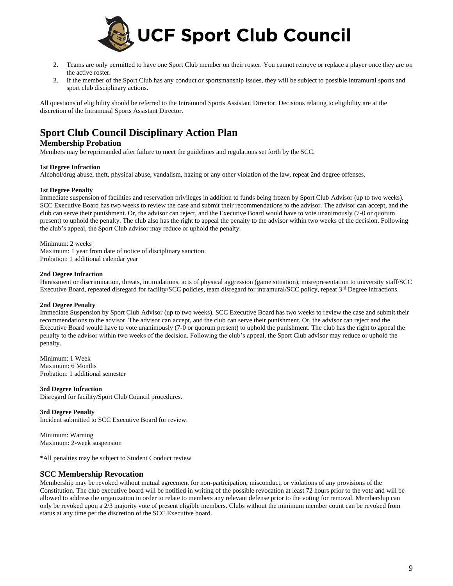

- 2. Teams are only permitted to have one Sport Club member on their roster. You cannot remove or replace a player once they are on the active roster.
- 3. If the member of the Sport Club has any conduct or sportsmanship issues, they will be subject to possible intramural sports and sport club disciplinary actions.

All questions of eligibility should be referred to the Intramural Sports Assistant Director. Decisions relating to eligibility are at the discretion of the Intramural Sports Assistant Director.

# **Sport Club Council Disciplinary Action Plan**

### **Membership Probation**

Members may be reprimanded after failure to meet the guidelines and regulations set forth by the SCC.

#### **1st Degree Infraction**

Alcohol/drug abuse, theft, physical abuse, vandalism, hazing or any other violation of the law, repeat 2nd degree offenses.

#### **1st Degree Penalty**

Immediate suspension of facilities and reservation privileges in addition to funds being frozen by Sport Club Advisor (up to two weeks). SCC Executive Board has two weeks to review the case and submit their recommendations to the advisor. The advisor can accept, and the club can serve their punishment. Or, the advisor can reject, and the Executive Board would have to vote unanimously (7-0 or quorum present) to uphold the penalty. The club also has the right to appeal the penalty to the advisor within two weeks of the decision. Following the club's appeal, the Sport Club advisor may reduce or uphold the penalty.

Minimum: 2 weeks

Maximum: 1 year from date of notice of disciplinary sanction. Probation: 1 additional calendar year

#### **2nd Degree Infraction**

Harassment or discrimination, threats, intimidations, acts of physical aggression (game situation), misrepresentation to university staff/SCC Executive Board, repeated disregard for facility/SCC policies, team disregard for intramural/SCC policy, repeat 3<sup>rd</sup> Degree infractions.

#### **2nd Degree Penalty**

Immediate Suspension by Sport Club Advisor (up to two weeks). SCC Executive Board has two weeks to review the case and submit their recommendations to the advisor. The advisor can accept, and the club can serve their punishment. Or, the advisor can reject and the Executive Board would have to vote unanimously (7-0 or quorum present) to uphold the punishment. The club has the right to appeal the penalty to the advisor within two weeks of the decision. Following the club's appeal, the Sport Club advisor may reduce or uphold the penalty.

Minimum: 1 Week Maximum: 6 Months Probation: 1 additional semester

**3rd Degree Infraction** Disregard for facility/Sport Club Council procedures.

**3rd Degree Penalty** Incident submitted to SCC Executive Board for review.

Minimum: Warning Maximum: 2-week suspension

\*All penalties may be subject to Student Conduct review

### **SCC Membership Revocation**

Membership may be revoked without mutual agreement for non-participation, misconduct, or violations of any provisions of the Constitution. The club executive board will be notified in writing of the possible revocation at least 72 hours prior to the vote and will be allowed to address the organization in order to relate to members any relevant defense prior to the voting for removal. Membership can only be revoked upon a 2/3 majority vote of present eligible members. Clubs without the minimum member count can be revoked from status at any time per the discretion of the SCC Executive board.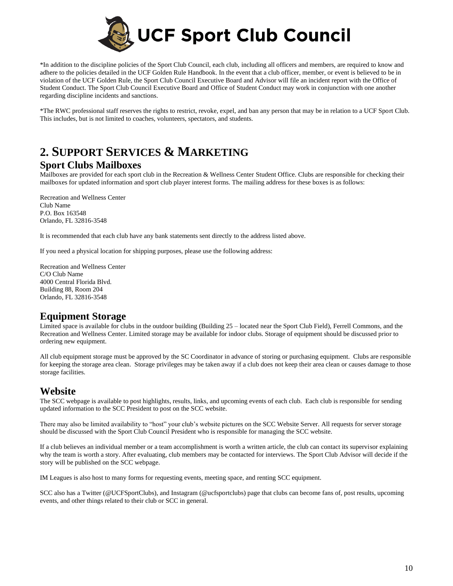

\*In addition to the discipline policies of the Sport Club Council, each club, including all officers and members, are required to know and adhere to the policies detailed in the UCF Golden Rule Handbook. In the event that a club officer, member, or event is believed to be in violation of the UCF Golden Rule, the Sport Club Council Executive Board and Advisor will file an incident report with the Office of Student Conduct. The Sport Club Council Executive Board and Office of Student Conduct may work in conjunction with one another regarding discipline incidents and sanctions.

\*The RWC professional staff reserves the rights to restrict, revoke, expel, and ban any person that may be in relation to a UCF Sport Club. This includes, but is not limited to coaches, volunteers, spectators, and students.

# **2. SUPPORT SERVICES & MARKETING**

### **Sport Clubs Mailboxes**

Mailboxes are provided for each sport club in the Recreation & Wellness Center Student Office. Clubs are responsible for checking their mailboxes for updated information and sport club player interest forms. The mailing address for these boxes is as follows:

Recreation and Wellness Center Club Name P.O. Box 163548 Orlando, FL 32816-3548

It is recommended that each club have any bank statements sent directly to the address listed above.

If you need a physical location for shipping purposes, please use the following address:

Recreation and Wellness Center C/O Club Name 4000 Central Florida Blvd. Building 88, Room 204 Orlando, FL 32816-3548

### **Equipment Storage**

Limited space is available for clubs in the outdoor building (Building 25 – located near the Sport Club Field), Ferrell Commons, and the Recreation and Wellness Center. Limited storage may be available for indoor clubs. Storage of equipment should be discussed prior to ordering new equipment.

All club equipment storage must be approved by the SC Coordinator in advance of storing or purchasing equipment. Clubs are responsible for keeping the storage area clean. Storage privileges may be taken away if a club does not keep their area clean or causes damage to those storage facilities.

### **Website**

The SCC webpage is available to post highlights, results, links, and upcoming events of each club. Each club is responsible for sending updated information to the SCC President to post on the SCC website.

There may also be limited availability to "host" your club's website pictures on the SCC Website Server. All requests for server storage should be discussed with the Sport Club Council President who is responsible for managing the SCC website.

If a club believes an individual member or a team accomplishment is worth a written article, the club can contact its supervisor explaining why the team is worth a story. After evaluating, club members may be contacted for interviews. The Sport Club Advisor will decide if the story will be published on the SCC webpage.

IM Leagues is also host to many forms for requesting events, meeting space, and renting SCC equipment.

SCC also has a Twitter (@UCFSportClubs), and Instagram (@ucfsportclubs) page that clubs can become fans of, post results, upcoming events, and other things related to their club or SCC in general.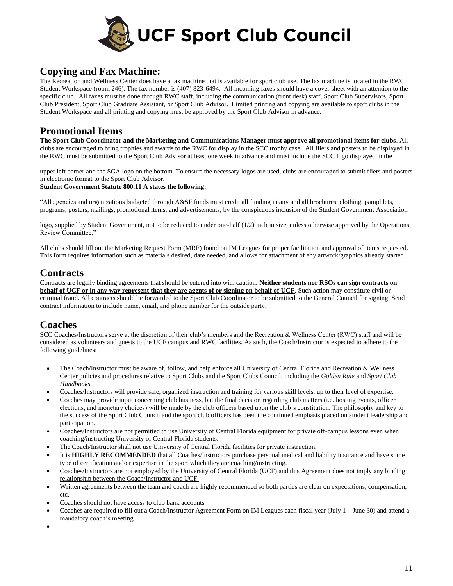

## **Copying and Fax Machine:**

The Recreation and Wellness Center does have a fax machine that is available for sport club use. The fax machine is located in the RWC Student Workspace (room 246). The fax number is (407) 823-6494. All incoming faxes should have a cover sheet with an attention to the specific club. All faxes must be done through RWC staff, including the communication (front desk) staff, Sport Club Supervisors, Sport Club President, Sport Club Graduate Assistant, or Sport Club Advisor. Limited printing and copying are available to sport clubs in the Student Workspace and all printing and copying must be approved by the Sport Club Advisor in advance.

### **Promotional Items**

**The Sport Club Coordinator and the Marketing and Communications Manager must approve all promotional items for clubs**. All clubs are encouraged to bring trophies and awards to the RWC for display in the SCC trophy case. All fliers and posters to be displayed in the RWC must be submitted to the Sport Club Advisor at least one week in advance and must include the SCC logo displayed in the

upper left corner and the SGA logo on the bottom. To ensure the necessary logos are used, clubs are encouraged to submit fliers and posters in electronic format to the Sport Club Advisor.

#### **Student Government Statute 800.11 A states the following:**

"All agencies and organizations budgeted through A&SF funds must credit all funding in any and all brochures, clothing, pamphlets, programs, posters, mailings, promotional items, and advertisements, by the conspicuous inclusion of the Student Government Association

logo, supplied by Student Government, not to be reduced to under one-half  $(1/2)$  inch in size, unless otherwise approved by the Operations Review Committee."

All clubs should fill out the Marketing Request Form (MRF) found on IM Leagues for proper facilitation and approval of items requested. This form requires information such as materials desired, date needed, and allows for attachment of any artwork/graphics already started.

### **Contracts**

Contracts are legally binding agreements that should be entered into with caution. **Neither students nor RSOs can sign contracts on behalf of UCF or in any way represent that they are agents of or signing on behalf of UCF**. Such action may constitute civil or criminal fraud. All contracts should be forwarded to the Sport Club Coordinator to be submitted to the General Council for signing. Send contract information to include name, email, and phone number for the outside party.

# **Coaches**

SCC Coaches/Instructors serve at the discretion of their club's members and the Recreation & Wellness Center (RWC) staff and will be considered as volunteers and guests to the UCF campus and RWC facilities. As such, the Coach/Instructor is expected to adhere to the following guidelines:

- The Coach/Instructor must be aware of, follow, and help enforce all University of Central Florida and Recreation & Wellness Center policies and procedures relative to Sport Clubs and the Sport Clubs Council, including the *Golden Rule* and *Sport Club Handbooks*.
- Coaches/Instructors will provide safe, organized instruction and training for various skill levels, up to their level of expertise.
- Coaches may provide input concerning club business, but the final decision regarding club matters (i.e. hosting events, officer elections, and monetary choices) will be made by the club officers based upon the club's constitution. The philosophy and key to the success of the Sport Club Council and the sport club officers has been the continued emphasis placed on student leadership and participation.
- Coaches/Instructors are not permitted to use University of Central Florida equipment for private off-campus lessons even when coaching/instructing University of Central Florida students.
- The Coach/Instructor shall not use University of Central Florida facilities for private instruction.
- It is **HIGHLY RECOMMENDED** that all Coaches/Instructors purchase personal medical and liability insurance and have some type of certification and/or expertise in the sport which they are coaching/instructing.
- Coaches/Instructors are not employed by the University of Central Florida (UCF) and this Agreement does not imply any binding relationship between the Coach/Instructor and UCF.
- Written agreements between the team and coach are highly recommended so both parties are clear on expectations, compensation, etc.
- Coaches should not have access to club bank accounts
- Coaches are required to fill out a Coach/Instructor Agreement Form on IM Leagues each fiscal year (July 1 June 30) and attend a mandatory coach's meeting.
- •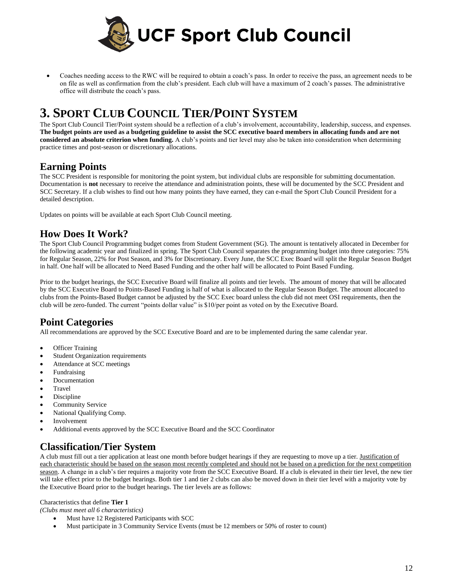

• Coaches needing access to the RWC will be required to obtain a coach's pass. In order to receive the pass, an agreement needs to be on file as well as confirmation from the club's president. Each club will have a maximum of 2 coach's passes. The administrative office will distribute the coach's pass.

# **3. SPORT CLUB COUNCIL TIER/POINT SYSTEM**

The Sport Club Council Tier/Point system should be a reflection of a club's involvement, accountability, leadership, success, and expenses. **The budget points are used as a budgeting guideline to assist the SCC executive board members in allocating funds and are not considered an absolute criterion when funding.** A club's points and tier level may also be taken into consideration when determining practice times and post-season or discretionary allocations.

### **Earning Points**

The SCC President is responsible for monitoring the point system, but individual clubs are responsible for submitting documentation. Documentation is **not** necessary to receive the attendance and administration points, these will be documented by the SCC President and SCC Secretary. If a club wishes to find out how many points they have earned, they can e-mail the Sport Club Council President for a detailed description.

Updates on points will be available at each Sport Club Council meeting.

### **How Does It Work?**

The Sport Club Council Programming budget comes from Student Government (SG). The amount is tentatively allocated in December for the following academic year and finalized in spring. The Sport Club Council separates the programming budget into three categories: 75% for Regular Season, 22% for Post Season, and 3% for Discretionary. Every June, the SCC Exec Board will split the Regular Season Budget in half. One half will be allocated to Need Based Funding and the other half will be allocated to Point Based Funding.

Prior to the budget hearings, the SCC Executive Board will finalize all points and tier levels. The amount of money that will be allocated by the SCC Executive Board to Points-Based Funding is half of what is allocated to the Regular Season Budget. The amount allocated to clubs from the Points-Based Budget cannot be adjusted by the SCC Exec board unless the club did not meet OSI requirements, then the club will be zero-funded. The current "points dollar value" is \$10/per point as voted on by the Executive Board.

# **Point Categories**

All recommendations are approved by the SCC Executive Board and are to be implemented during the same calendar year.

- **Officer Training**
- Student Organization requirements
- Attendance at SCC meetings
- Fundraising
- **Documentation**
- Travel
- **Discipline**
- Community Service
- National Qualifying Comp.
- **Involvement**
- Additional events approved by the SCC Executive Board and the SCC Coordinator

# **Classification/Tier System**

A club must fill out a tier application at least one month before budget hearings if they are requesting to move up a tier. Justification of each characteristic should be based on the season most recently completed and should not be based on a prediction for the next competition season. A change in a club's tier requires a majority vote from the SCC Executive Board. If a club is elevated in their tier level, the new tier will take effect prior to the budget hearings. Both tier 1 and tier 2 clubs can also be moved down in their tier level with a majority vote by the Executive Board prior to the budget hearings. The tier levels are as follows:

### Characteristics that define **Tier 1**

*(Clubs must meet all 6 characteristics)*

- Must have 12 Registered Participants with SCC
- Must participate in 3 Community Service Events (must be 12 members or 50% of roster to count)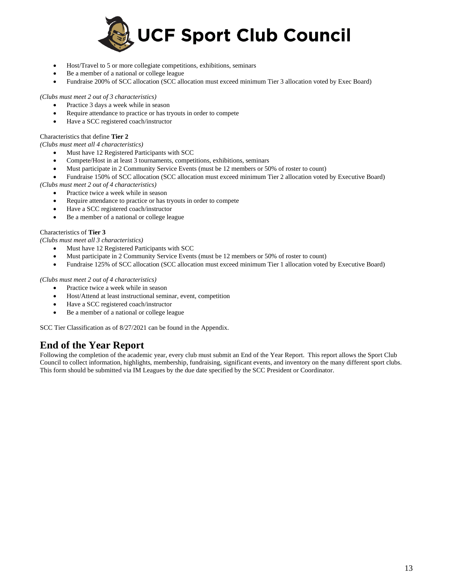

- Host/Travel to 5 or more collegiate competitions, exhibitions, seminars
- Be a member of a national or college league

• Fundraise 200% of SCC allocation (SCC allocation must exceed minimum Tier 3 allocation voted by Exec Board)

*(Clubs must meet 2 out of 3 characteristics)*

- Practice 3 days a week while in season
- Require attendance to practice or has tryouts in order to compete
- Have a SCC registered coach/instructor

#### Characteristics that define **Tier 2**

*(Clubs must meet all 4 characteristics)*

- Must have 12 Registered Participants with SCC
- Compete/Host in at least 3 tournaments, competitions, exhibitions, seminars
- Must participate in 2 Community Service Events (must be 12 members or 50% of roster to count)
- Fundraise 150% of SCC allocation (SCC allocation must exceed minimum Tier 2 allocation voted by Executive Board)

*(Clubs must meet 2 out of 4 characteristics)*

- Practice twice a week while in season
- Require attendance to practice or has tryouts in order to compete
- Have a SCC registered coach/instructor
- Be a member of a national or college league

#### Characteristics of **Tier 3**

*(Clubs must meet all 3 characteristics)*

- Must have 12 Registered Participants with SCC
- Must participate in 2 Community Service Events (must be 12 members or 50% of roster to count)
- Fundraise 125% of SCC allocation (SCC allocation must exceed minimum Tier 1 allocation voted by Executive Board)

#### *(Clubs must meet 2 out of 4 characteristics)*

- Practice twice a week while in season
- Host/Attend at least instructional seminar, event, competition
- Have a SCC registered coach/instructor
- Be a member of a national or college league

SCC Tier Classification as of 8/27/2021 can be found in the Appendix.

### **End of the Year Report**

Following the completion of the academic year, every club must submit an End of the Year Report. This report allows the Sport Club Council to collect information, highlights, membership, fundraising, significant events, and inventory on the many different sport clubs. This form should be submitted via IM Leagues by the due date specified by the SCC President or Coordinator.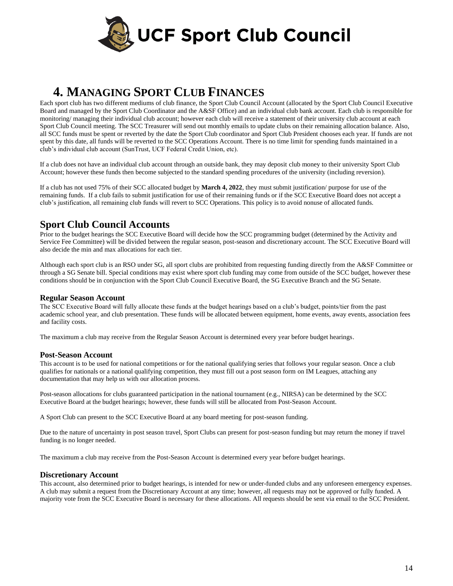

# **4. MANAGING SPORT CLUB FINANCES**

Each sport club has two different mediums of club finance, the Sport Club Council Account (allocated by the Sport Club Council Executive Board and managed by the Sport Club Coordinator and the A&SF Office) and an individual club bank account. Each club is responsible for monitoring/ managing their individual club account; however each club will receive a statement of their university club account at each Sport Club Council meeting. The SCC Treasurer will send out monthly emails to update clubs on their remaining allocation balance. Also, all SCC funds must be spent or reverted by the date the Sport Club coordinator and Sport Club President chooses each year. If funds are not spent by this date, all funds will be reverted to the SCC Operations Account. There is no time limit for spending funds maintained in a club's individual club account (SunTrust, UCF Federal Credit Union, etc).

If a club does not have an individual club account through an outside bank, they may deposit club money to their university Sport Club Account; however these funds then become subjected to the standard spending procedures of the university (including reversion).

If a club has not used 75% of their SCC allocated budget by **March 4, 2022**, they must submit justification/ purpose for use of the remaining funds. If a club fails to submit justification for use of their remaining funds or if the SCC Executive Board does not accept a club's justification, all remaining club funds will revert to SCC Operations. This policy is to avoid nonuse of allocated funds.

## **Sport Club Council Accounts**

Prior to the budget hearings the SCC Executive Board will decide how the SCC programming budget (determined by the Activity and Service Fee Committee) will be divided between the regular season, post-season and discretionary account. The SCC Executive Board will also decide the min and max allocations for each tier.

Although each sport club is an RSO under SG, all sport clubs are prohibited from requesting funding directly from the A&SF Committee or through a SG Senate bill. Special conditions may exist where sport club funding may come from outside of the SCC budget, however these conditions should be in conjunction with the Sport Club Council Executive Board, the SG Executive Branch and the SG Senate.

### **Regular Season Account**

The SCC Executive Board will fully allocate these funds at the budget hearings based on a club's budget, points/tier from the past academic school year, and club presentation. These funds will be allocated between equipment, home events, away events, association fees and facility costs.

The maximum a club may receive from the Regular Season Account is determined every year before budget hearings.

### **Post-Season Account**

This account is to be used for national competitions or for the national qualifying series that follows your regular season. Once a club qualifies for nationals or a national qualifying competition, they must fill out a post season form on IM Leagues, attaching any documentation that may help us with our allocation process.

Post-season allocations for clubs guaranteed participation in the national tournament (e.g., NIRSA) can be determined by the SCC Executive Board at the budget hearings; however, these funds will still be allocated from Post-Season Account.

A Sport Club can present to the SCC Executive Board at any board meeting for post-season funding.

Due to the nature of uncertainty in post season travel, Sport Clubs can present for post-season funding but may return the money if travel funding is no longer needed.

The maximum a club may receive from the Post-Season Account is determined every year before budget hearings.

### **Discretionary Account**

This account, also determined prior to budget hearings, is intended for new or under-funded clubs and any unforeseen emergency expenses. A club may submit a request from the Discretionary Account at any time; however, all requests may not be approved or fully funded. A majority vote from the SCC Executive Board is necessary for these allocations. All requests should be sent via email to the SCC President.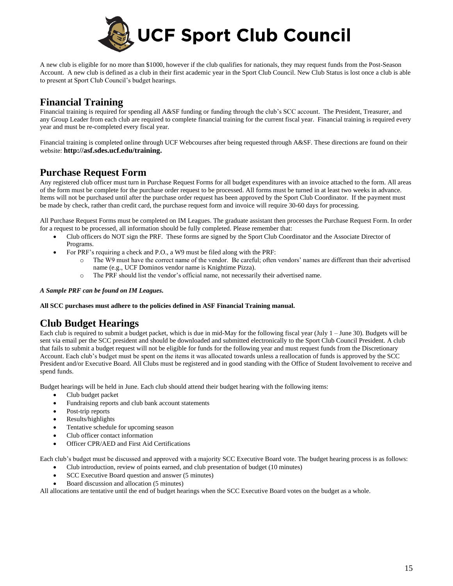

A new club is eligible for no more than \$1000, however if the club qualifies for nationals, they may request funds from the Post-Season Account. A new club is defined as a club in their first academic year in the Sport Club Council. New Club Status is lost once a club is able to present at Sport Club Council's budget hearings.

# **Financial Training**

Financial training is required for spending all A&SF funding or funding through the club's SCC account. The President, Treasurer, and any Group Leader from each club are required to complete financial training for the current fiscal year. Financial training is required every year and must be re-completed every fiscal year.

Financial training is completed online through UCF Webcourses after being requested through A&SF. These directions are found on their website: **http://asf.sdes.ucf.edu/training.**

## **Purchase Request Form**

Any registered club officer must turn in Purchase Request Forms for all budget expenditures with an invoice attached to the form. All areas of the form must be complete for the purchase order request to be processed. All forms must be turned in at least two weeks in advance. Items will not be purchased until after the purchase order request has been approved by the Sport Club Coordinator. If the payment must be made by check, rather than credit card, the purchase request form and invoice will require 30-60 days for processing.

All Purchase Request Forms must be completed on IM Leagues. The graduate assistant then processes the Purchase Request Form. In order for a request to be processed, all information should be fully completed. Please remember that:

- Club officers do NOT sign the PRF. These forms are signed by the Sport Club Coordinator and the Associate Director of Programs.
- For PRF's requiring a check and P.O., a W9 must be filed along with the PRF:
	- o The W9 must have the correct name of the vendor. Be careful; often vendors' names are different than their advertised name (e.g., UCF Dominos vendor name is Knightime Pizza).
		- o The PRF should list the vendor's official name, not necessarily their advertised name.

#### *A Sample PRF can be found on IM Leagues.*

**All SCC purchases must adhere to the policies defined in ASF Financial Training manual.**

# **Club Budget Hearings**

Each club is required to submit a budget packet, which is due in mid-May for the following fiscal year (July 1 – June 30). Budgets will be sent via email per the SCC president and should be downloaded and submitted electronically to the Sport Club Council President. A club that fails to submit a budget request will not be eligible for funds for the following year and must request funds from the Discretionary Account. Each club's budget must be spent on the items it was allocated towards unless a reallocation of funds is approved by the SCC President and/or Executive Board. All Clubs must be registered and in good standing with the Office of Student Involvement to receive and spend funds.

Budget hearings will be held in June. Each club should attend their budget hearing with the following items:

- Club budget packet
- Fundraising reports and club bank account statements
- Post-trip reports
- Results/highlights
- Tentative schedule for upcoming season
- Club officer contact information
- Officer CPR/AED and First Aid Certifications

Each club's budget must be discussed and approved with a majority SCC Executive Board vote. The budget hearing process is as follows:

- Club introduction, review of points earned, and club presentation of budget (10 minutes)
- SCC Executive Board question and answer (5 minutes)
- Board discussion and allocation (5 minutes)

All allocations are tentative until the end of budget hearings when the SCC Executive Board votes on the budget as a whole.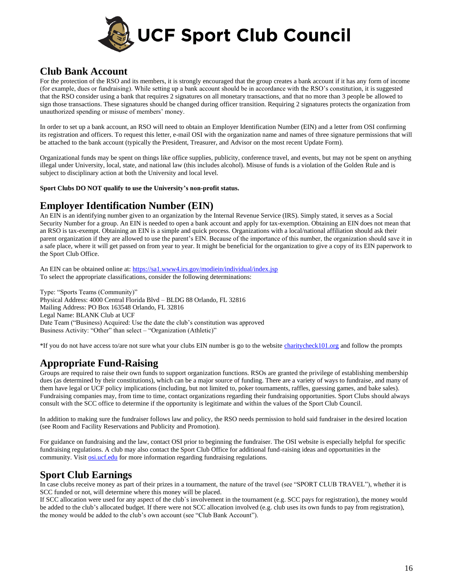

### **Club Bank Account**

For the protection of the RSO and its members, it is strongly encouraged that the group creates a bank account if it has any form of income (for example, dues or fundraising). While setting up a bank account should be in accordance with the RSO's constitution, it is suggested that the RSO consider using a bank that requires 2 signatures on all monetary transactions, and that no more than 3 people be allowed to sign those transactions. These signatures should be changed during officer transition. Requiring 2 signatures protects the organization from unauthorized spending or misuse of members' money.

In order to set up a bank account, an RSO will need to obtain an Employer Identification Number (EIN) and a letter from OSI confirming its registration and officers. To request this letter, e-mail OSI with the organization name and names of three signature permissions that will be attached to the bank account (typically the President, Treasurer, and Advisor on the most recent Update Form).

Organizational funds may be spent on things like office supplies, publicity, conference travel, and events, but may not be spent on anything illegal under University, local, state, and national law (this includes alcohol). Misuse of funds is a violation of the Golden Rule and is subject to disciplinary action at both the University and local level.

**Sport Clubs DO NOT qualify to use the University's non-profit status.**

### **Employer Identification Number (EIN)**

An EIN is an identifying number given to an organization by the Internal Revenue Service (IRS). Simply stated, it serves as a Social Security Number for a group. An EIN is needed to open a bank account and apply for tax-exemption. Obtaining an EIN does not mean that an RSO is tax-exempt. Obtaining an EIN is a simple and quick process. Organizations with a local/national affiliation should ask their parent organization if they are allowed to use the parent's EIN. Because of the importance of this number, the organization should save it in a safe place, where it will get passed on from year to year. It might be beneficial for the organization to give a copy of its EIN paperwork to the Sport Club Office.

An EIN can be obtained online at:<https://sa1.www4.irs.gov/modiein/individual/index.jsp> To select the appropriate classifications, consider the following determinations:

Type: "Sports Teams (Community)" Physical Address: 4000 Central Florida Blvd – BLDG 88 Orlando, FL 32816 Mailing Address: PO Box 163548 Orlando, FL 32816 Legal Name: BLANK Club at UCF Date Team ("Business) Acquired: Use the date the club's constitution was approved Business Activity: "Other" than select – "Organization (Athletic)"

\*If you do not have access to/are not sure what your clubs EIN number is go to the website [charitycheck101.org](file://///sdesfsc.sdes.ucf.edu/Rec%20and%20Wellness%20Center/Sport%20Clubs/Sport%20Club%20Supervisors/Individual%20Supervisors/Sam/charitycheck101.org) and follow the prompts

# **Appropriate Fund-Raising**

Groups are required to raise their own funds to support organization functions. RSOs are granted the privilege of establishing membership dues (as determined by their constitutions), which can be a major source of funding. There are a variety of ways to fundraise, and many of them have legal or UCF policy implications (including, but not limited to, poker tournaments, raffles, guessing games, and bake sales). Fundraising companies may, from time to time, contact organizations regarding their fundraising opportunities. Sport Clubs should always consult with the SCC office to determine if the opportunity is legitimate and within the values of the Sport Club Council.

In addition to making sure the fundraiser follows law and policy, the RSO needs permission to hold said fundraiser in the desired location (see Room and Facility Reservations and Publicity and Promotion).

For guidance on fundraising and the law, contact OSI prior to beginning the fundraiser. The OSI website is especially helpful for specific fundraising regulations. A club may also contact the Sport Club Office for additional fund-raising ideas and opportunities in the community. Visi[t osi.ucf.edu](file://///sdesfsc.sdes.ucf.edu/Rec%20and%20Wellness%20Center/Sport%20Clubs/Sport%20Club%20Supervisors/Individual%20Supervisors/Sam/osi.ucf.edu) for more information regarding fundraising regulations.

### **Sport Club Earnings**

In case clubs receive money as part of their prizes in a tournament, the nature of the travel (see "SPORT CLUB TRAVEL"), whether it is SCC funded or not, will determine where this money will be placed.

If SCC allocation were used for any aspect of the club`s involvement in the tournament (e.g. SCC pays for registration), the money would be added to the club's allocated budget. If there were not SCC allocation involved (e.g. club uses its own funds to pay from registration), the money would be added to the club's own account (see "Club Bank Account").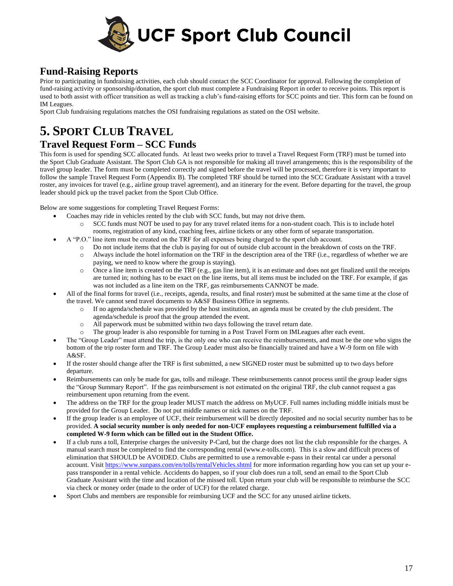

## **Fund-Raising Reports**

Prior to participating in fundraising activities, each club should contact the SCC Coordinator for approval. Following the completion of fund-raising activity or sponsorship/donation, the sport club must complete a Fundraising Report in order to receive points. This report is used to both assist with officer transition as well as tracking a club's fund-raising efforts for SCC points and tier. This form can be found on IM Leagues.

Sport Club fundraising regulations matches the OSI fundraising regulations as stated on the OSI website.

# **5. SPORT CLUB TRAVEL**

### **Travel Request Form – SCC Funds**

This form is used for spending SCC allocated funds. At least two weeks prior to travel a Travel Request Form (TRF) must be turned into the Sport Club Graduate Assistant. The Sport Club GA is not responsible for making all travel arrangements; this is the responsibility of the travel group leader. The form must be completed correctly and signed before the travel will be processed, therefore it is very important to follow the sample Travel Request Form (Appendix B). The completed TRF should be turned into the SCC Graduate Assistant with a travel roster, any invoices for travel (e.g., airline group travel agreement), and an itinerary for the event. Before departing for the travel, the group leader should pick up the travel packet from the Sport Club Office.

Below are some suggestions for completing Travel Request Forms:

- Coaches may ride in vehicles rented by the club with SCC funds, but may not drive them.
	- o SCC funds must NOT be used to pay for any travel related items for a non-student coach. This is to include hotel rooms, registration of any kind, coaching fees, airline tickets or any other form of separate transportation.
- A "P.O." line item must be created on the TRF for all expenses being charged to the sport club account.
	- o Do not include items that the club is paying for out of outside club account in the breakdown of costs on the TRF.
	- $\circ$  Always include the hotel information on the TRF in the description area of the TRF (i.e., regardless of whether we are paying, we need to know where the group is staying).
	- $\circ$  Once a line item is created on the TRF (e.g., gas line item), it is an estimate and does not get finalized until the receipts are turned in; nothing has to be exact on the line items, but all items must be included on the TRF. For example, if gas was not included as a line item on the TRF, gas reimbursements CANNOT be made.
- All of the final forms for travel (i.e., receipts, agenda, results, and final roster) must be submitted at the same time at the close of the travel. We cannot send travel documents to A&SF Business Office in segments.
	- o If no agenda/schedule was provided by the host institution, an agenda must be created by the club president. The agenda/schedule is proof that the group attended the event.
	- o All paperwork must be submitted within two days following the travel return date.
	- o The group leader is also responsible for turning in a Post Travel Form on IMLeagues after each event.
- The "Group Leader" must attend the trip, is the only one who can receive the reimbursements, and must be the one who signs the bottom of the trip roster form and TRF. The Group Leader must also be financially trained and have a W-9 form on file with A&SF.
- If the roster should change after the TRF is first submitted, a new SIGNED roster must be submitted up to two days before departure.
- Reimbursements can only be made for gas, tolls and mileage. These reimbursements cannot process until the group leader signs the "Group Summary Report". If the gas reimbursement is not estimated on the original TRF, the club cannot request a gas reimbursement upon returning from the event.
- The address on the TRF for the group leader MUST match the address on MyUCF. Full names including middle initials must be provided for the Group Leader. Do not put middle names or nick names on the TRF.
- If the group leader is an employee of UCF, their reimbursement will be directly deposited and no social security number has to be provided. **A social security number is only needed for non-UCF employees requesting a reimbursement fulfilled via a completed W-9 form which can be filled out in the Student Office.**
- If a club runs a toll, Enterprise charges the university P-Card, but the charge does not list the club responsible for the charges. A manual search must be completed to find the corresponding rental (www.e-tolls.com). This is a slow and difficult process of elimination that SHOULD be AVOIDED. Clubs are permitted to use a removable e-pass in their rental car under a personal account. Visi[t https://www.sunpass.com/en/tolls/rentalVehicles.shtml](https://www.sunpass.com/en/tolls/rentalVehicles.shtml) for more information regarding how you can set up your epass transponder in a rental vehicle. Accidents do happen, so if your club does run a toll, send an email to the Sport Club Graduate Assistant with the time and location of the missed toll. Upon return your club will be responsible to reimburse the SCC via check or money order (made to the order of UCF) for the related charge.
- Sport Clubs and members are responsible for reimbursing UCF and the SCC for any unused airline tickets.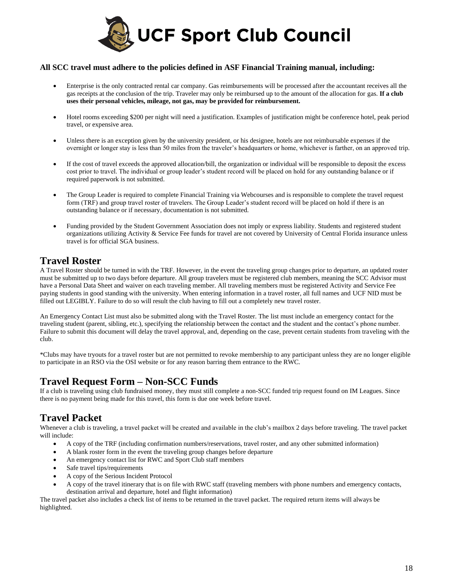

### **All SCC travel must adhere to the policies defined in ASF Financial Training manual, including:**

- Enterprise is the only contracted rental car company. Gas reimbursements will be processed after the accountant receives all the gas receipts at the conclusion of the trip. Traveler may only be reimbursed up to the amount of the allocation for gas. **If a club uses their personal vehicles, mileage, not gas, may be provided for reimbursement.**
- Hotel rooms exceeding \$200 per night will need a justification. Examples of justification might be conference hotel, peak period travel, or expensive area.
- Unless there is an exception given by the university president, or his designee, hotels are not reimbursable expenses if the overnight or longer stay is less than 50 miles from the traveler's headquarters or home, whichever is farther, on an approved trip.
- If the cost of travel exceeds the approved allocation/bill, the organization or individual will be responsible to deposit the excess cost prior to travel. The individual or group leader's student record will be placed on hold for any outstanding balance or if required paperwork is not submitted.
- The Group Leader is required to complete Financial Training via Webcourses and is responsible to complete the travel request form (TRF) and group travel roster of travelers. The Group Leader's student record will be placed on hold if there is an outstanding balance or if necessary, documentation is not submitted.
- Funding provided by the Student Government Association does not imply or express liability. Students and registered student organizations utilizing Activity & Service Fee funds for travel are not covered by University of Central Florida insurance unless travel is for official SGA business.

### **Travel Roster**

A Travel Roster should be turned in with the TRF. However, in the event the traveling group changes prior to departure, an updated roster must be submitted up to two days before departure. All group travelers must be registered club members, meaning the SCC Advisor must have a Personal Data Sheet and waiver on each traveling member. All traveling members must be registered Activity and Service Fee paying students in good standing with the university. When entering information in a travel roster, all full names and UCF NID must be filled out LEGIBLY. Failure to do so will result the club having to fill out a completely new travel roster.

An Emergency Contact List must also be submitted along with the Travel Roster. The list must include an emergency contact for the traveling student (parent, sibling, etc.), specifying the relationship between the contact and the student and the contact's phone number. Failure to submit this document will delay the travel approval, and, depending on the case, prevent certain students from traveling with the club.

\*Clubs may have tryouts for a travel roster but are not permitted to revoke membership to any participant unless they are no longer eligible to participate in an RSO via the OSI website or for any reason barring them entrance to the RWC.

### **Travel Request Form – Non-SCC Funds**

If a club is traveling using club fundraised money, they must still complete a non-SCC funded trip request found on IM Leagues. Since there is no payment being made for this travel, this form is due one week before travel.

# **Travel Packet**

Whenever a club is traveling, a travel packet will be created and available in the club's mailbox 2 days before traveling. The travel packet will include:

- A copy of the TRF (including confirmation numbers/reservations, travel roster, and any other submitted information)
- A blank roster form in the event the traveling group changes before departure
- An emergency contact list for RWC and Sport Club staff members
- Safe travel tips/requirements
- A copy of the Serious Incident Protocol
- A copy of the travel itinerary that is on file with RWC staff (traveling members with phone numbers and emergency contacts, destination arrival and departure, hotel and flight information)

The travel packet also includes a check list of items to be returned in the travel packet. The required return items will always be highlighted.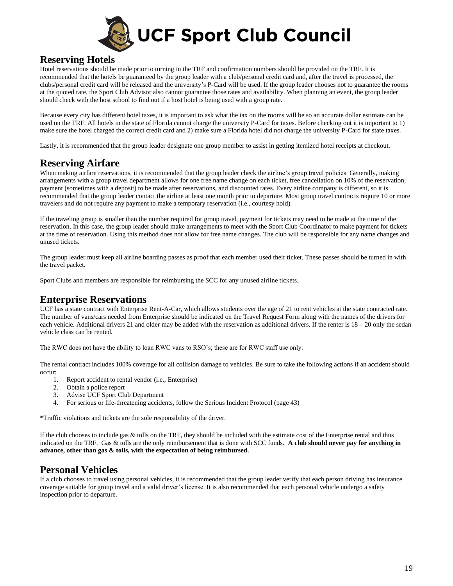

### **Reserving Hotels**

Hotel reservations should be made prior to turning in the TRF and confirmation numbers should be provided on the TRF. It is recommended that the hotels be guaranteed by the group leader with a club/personal credit card and, after the travel is processed, the clubs/personal credit card will be released and the university's P-Card will be used. If the group leader chooses not to guarantee the rooms at the quoted rate, the Sport Club Advisor also cannot guarantee those rates and availability. When planning an event, the group leader should check with the host school to find out if a host hotel is being used with a group rate.

Because every city has different hotel taxes, it is important to ask what the tax on the rooms will be so an accurate dollar estimate can be used on the TRF. All hotels in the state of Florida cannot charge the university P-Card for taxes. Before checking out it is important to 1) make sure the hotel charged the correct credit card and 2) make sure a Florida hotel did not charge the university P-Card for state taxes.

Lastly, it is recommended that the group leader designate one group member to assist in getting itemized hotel receipts at checkout.

# **Reserving Airfare**

When making airfare reservations, it is recommended that the group leader check the airline's group travel policies. Generally, making arrangements with a group travel department allows for one free name change on each ticket, free cancellation on 10% of the reservation, payment (sometimes with a deposit) to be made after reservations, and discounted rates. Every airline company is different, so it is recommended that the group leader contact the airline at least one month prior to departure. Most group travel contracts require 10 or more travelers and do not require any payment to make a temporary reservation (i.e., courtesy hold).

If the traveling group is smaller than the number required for group travel, payment for tickets may need to be made at the time of the reservation. In this case, the group leader should make arrangements to meet with the Sport Club Coordinator to make payment for tickets at the time of reservation. Using this method does not allow for free name changes. The club will be responsible for any name changes and unused tickets.

The group leader must keep all airline boarding passes as proof that each member used their ticket. These passes should be turned in with the travel packet.

Sport Clubs and members are responsible for reimbursing the SCC for any unused airline tickets.

### **Enterprise Reservations**

UCF has a state contract with Enterprise Rent-A-Car, which allows students over the age of 21 to rent vehicles at the state contracted rate. The number of vans/cars needed from Enterprise should be indicated on the Travel Request Form along with the names of the drivers for each vehicle. Additional drivers 21 and older may be added with the reservation as additional drivers. If the renter is  $18 - 20$  only the sedan vehicle class can be rented.

The RWC does not have the ability to loan RWC vans to RSO's; these are for RWC staff use only.

The rental contract includes 100% coverage for all collision damage to vehicles. Be sure to take the following actions if an accident should occur:

- 1. Report accident to rental vendor (i.e., Enterprise)
- 2. Obtain a police report
- 3. Advise UCF Sport Club Department
- 4. For serious or life-threatening accidents, follow the Serious Incident Protocol (page 43)

\*Traffic violations and tickets are the sole responsibility of the driver.

If the club chooses to include gas & tolls on the TRF, they should be included with the estimate cost of the Enterprise rental and thus indicated on the TRF. Gas & tolls are the only reimbursement that is done with SCC funds. **A club should never pay for anything in advance, other than gas & tolls, with the expectation of being reimbursed.**

### **Personal Vehicles**

If a club chooses to travel using personal vehicles, it is recommended that the group leader verify that each person driving has insurance coverage suitable for group travel and a valid driver's license. It is also recommended that each personal vehicle undergo a safety inspection prior to departure.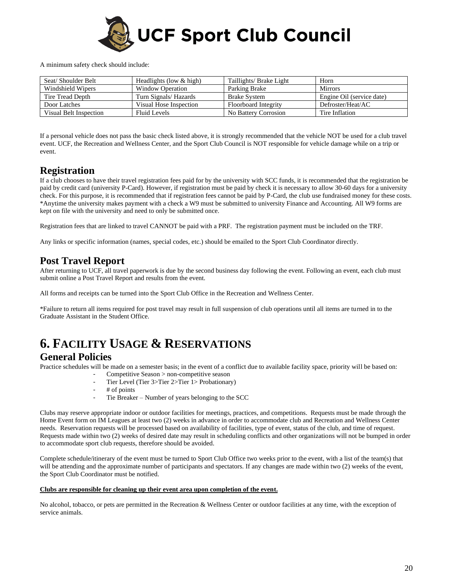

A minimum safety check should include:

| Seat/Shoulder Belt     | Headlights (low $&$ high) | Taillights/ Brake Light | Horn                      |
|------------------------|---------------------------|-------------------------|---------------------------|
| Windshield Wipers      | <b>Window Operation</b>   | Parking Brake           | <b>Mirrors</b>            |
| Tire Tread Depth       | Turn Signals/Hazards      | <b>Brake System</b>     | Engine Oil (service date) |
| Door Latches           | Visual Hose Inspection    | Floorboard Integrity    | Defroster/Heat/AC         |
| Visual Belt Inspection | Fluid Levels              | No Battery Corrosion    | Tire Inflation            |

If a personal vehicle does not pass the basic check listed above, it is strongly recommended that the vehicle NOT be used for a club travel event. UCF, the Recreation and Wellness Center, and the Sport Club Council is NOT responsible for vehicle damage while on a trip or event.

### **Registration**

If a club chooses to have their travel registration fees paid for by the university with SCC funds, it is recommended that the registration be paid by credit card (university P-Card). However, if registration must be paid by check it is necessary to allow 30-60 days for a university check. For this purpose, it is recommended that if registration fees cannot be paid by P-Card, the club use fundraised money for these costs. \*Anytime the university makes payment with a check a W9 must be submitted to university Finance and Accounting. All W9 forms are kept on file with the university and need to only be submitted once.

Registration fees that are linked to travel CANNOT be paid with a PRF. The registration payment must be included on the TRF.

Any links or specific information (names, special codes, etc.) should be emailed to the Sport Club Coordinator directly.

### **Post Travel Report**

After returning to UCF, all travel paperwork is due by the second business day following the event. Following an event, each club must submit online a Post Travel Report and results from the event.

All forms and receipts can be turned into the Sport Club Office in the Recreation and Wellness Center.

\*Failure to return all items required for post travel may result in full suspension of club operations until all items are turned in to the Graduate Assistant in the Student Office.

# **6. FACILITY USAGE & RESERVATIONS**

### **General Policies**

Practice schedules will be made on a semester basis; in the event of a conflict due to available facility space, priority will be based on:

- Competitive Season > non-competitive season
- Tier Level (Tier 3>Tier 2>Tier 1> Probationary)
- # of points<br>- Tie Breake
- Tie Breaker Number of years belonging to the SCC

Clubs may reserve appropriate indoor or outdoor facilities for meetings, practices, and competitions. Requests must be made through the Home Event form on IM Leagues at least two (2) weeks in advance in order to accommodate club and Recreation and Wellness Center needs. Reservation requests will be processed based on availability of facilities, type of event, status of the club, and time of request. Requests made within two (2) weeks of desired date may result in scheduling conflicts and other organizations will not be bumped in order to accommodate sport club requests, therefore should be avoided.

Complete schedule/itinerary of the event must be turned to Sport Club Office two weeks prior to the event, with a list of the team(s) that will be attending and the approximate number of participants and spectators. If any changes are made within two (2) weeks of the event, the Sport Club Coordinator must be notified.

#### **Clubs are responsible for cleaning up their event area upon completion of the event.**

No alcohol, tobacco, or pets are permitted in the Recreation & Wellness Center or outdoor facilities at any time, with the exception of service animals.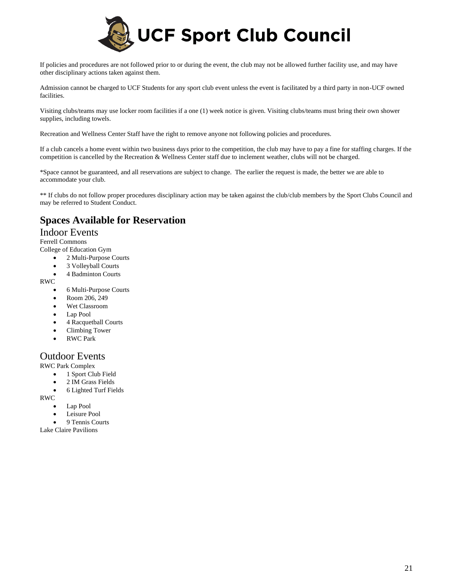

If policies and procedures are not followed prior to or during the event, the club may not be allowed further facility use, and may have other disciplinary actions taken against them.

Admission cannot be charged to UCF Students for any sport club event unless the event is facilitated by a third party in non-UCF owned facilities.

Visiting clubs/teams may use locker room facilities if a one (1) week notice is given. Visiting clubs/teams must bring their own shower supplies, including towels.

Recreation and Wellness Center Staff have the right to remove anyone not following policies and procedures.

If a club cancels a home event within two business days prior to the competition, the club may have to pay a fine for staffing charges. If the competition is cancelled by the Recreation & Wellness Center staff due to inclement weather, clubs will not be charged.

\*Space cannot be guaranteed, and all reservations are subject to change. The earlier the request is made, the better we are able to accommodate your club.

\*\* If clubs do not follow proper procedures disciplinary action may be taken against the club/club members by the Sport Clubs Council and may be referred to Student Conduct.

## **Spaces Available for Reservation**

### Indoor Events

Ferrell Commons

College of Education Gym

- 2 Multi-Purpose Courts
- 3 Volleyball Courts
- 4 Badminton Courts

RWC

- 6 Multi-Purpose Courts
- Room 206, 249
- Wet Classroom
- Lap Pool
- 4 Racquetball Courts
- Climbing Tower
- RWC Park

### Outdoor Events

RWC Park Complex

- 1 Sport Club Field
- 2 IM Grass Fields
- 6 Lighted Turf Fields

RWC

- Lap Pool
- Leisure Pool
- 9 Tennis Courts

Lake Claire Pavilions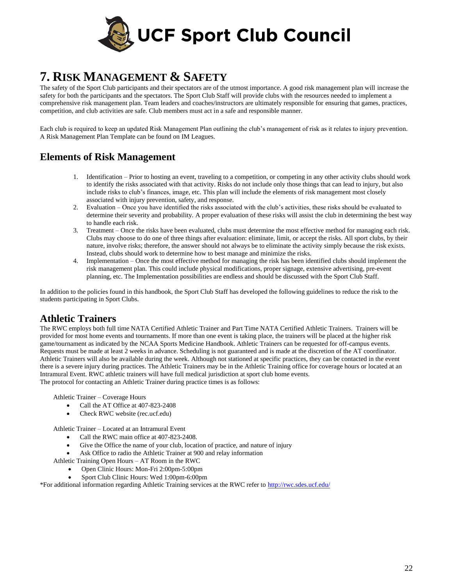

# **7. RISK MANAGEMENT & SAFETY**

The safety of the Sport Club participants and their spectators are of the utmost importance. A good risk management plan will increase the safety for both the participants and the spectators. The Sport Club Staff will provide clubs with the resources needed to implement a comprehensive risk management plan. Team leaders and coaches/instructors are ultimately responsible for ensuring that games, practices, competition, and club activities are safe. Club members must act in a safe and responsible manner.

Each club is required to keep an updated Risk Management Plan outlining the club's management of risk as it relates to injury prevention. A Risk Management Plan Template can be found on IM Leagues.

## **Elements of Risk Management**

- 1. Identification Prior to hosting an event, traveling to a competition, or competing in any other activity clubs should work to identify the risks associated with that activity. Risks do not include only those things that can lead to injury, but also include risks to club's finances, image, etc. This plan will include the elements of risk management most closely associated with injury prevention, safety, and response.
- 2. Evaluation Once you have identified the risks associated with the club's activities, these risks should be evaluated to determine their severity and probability. A proper evaluation of these risks will assist the club in determining the best way to handle each risk.
- 3. Treatment Once the risks have been evaluated, clubs must determine the most effective method for managing each risk. Clubs may choose to do one of three things after evaluation: eliminate, limit, or accept the risks. All sport clubs, by their nature, involve risks; therefore, the answer should not always be to eliminate the activity simply because the risk exists. Instead, clubs should work to determine how to best manage and minimize the risks.
- 4. Implementation Once the most effective method for managing the risk has been identified clubs should implement the risk management plan. This could include physical modifications, proper signage, extensive advertising, pre-event planning, etc. The Implementation possibilities are endless and should be discussed with the Sport Club Staff.

In addition to the policies found in this handbook, the Sport Club Staff has developed the following guidelines to reduce the risk to the students participating in Sport Clubs.

### **Athletic Trainers**

The RWC employs both full time NATA Certified Athletic Trainer and Part Time NATA Certified Athletic Trainers. Trainers will be provided for most home events and tournaments. If more than one event is taking place, the trainers will be placed at the higher risk game/tournament as indicated by the NCAA Sports Medicine Handbook. Athletic Trainers can be requested for off-campus events. Requests must be made at least 2 weeks in advance. Scheduling is not guaranteed and is made at the discretion of the AT coordinator. Athletic Trainers will also be available during the week. Although not stationed at specific practices, they can be contacted in the event there is a severe injury during practices. The Athletic Trainers may be in the Athletic Training office for coverage hours or located at an Intramural Event. RWC athletic trainers will have full medical jurisdiction at sport club home events. The protocol for contacting an Athletic Trainer during practice times is as follows:

Athletic Trainer – Coverage Hours

- Call the AT Office at 407-823-2408
- Check RWC website (rec.ucf.edu)

Athletic Trainer – Located at an Intramural Event

- Call the RWC main office at 407-823-2408.
- Give the Office the name of your club, location of practice, and nature of injury
- Ask Office to radio the Athletic Trainer at 900 and relay information
- Athletic Training Open Hours AT Room in the RWC
	- Open Clinic Hours: Mon-Fri 2:00pm-5:00pm
	- Sport Club Clinic Hours: Wed 1:00pm-6:00pm

\*For additional information regarding Athletic Training services at the RWC refer to<http://rwc.sdes.ucf.edu/>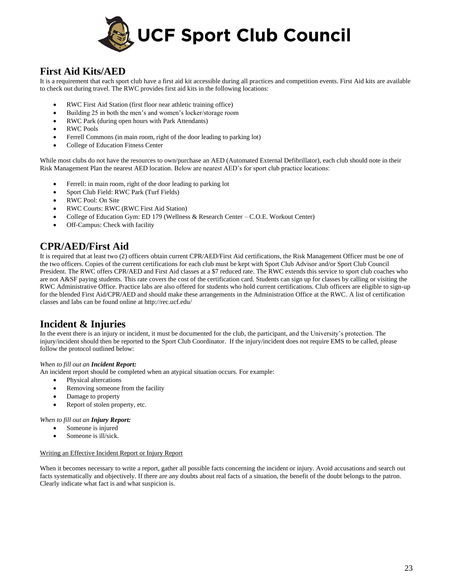

## **First Aid Kits/AED**

It is a requirement that each sport club have a first aid kit accessible during all practices and competition events. First Aid kits are available to check out during travel. The RWC provides first aid kits in the following locations:

- RWC First Aid Station (first floor near athletic training office)
- Building 25 in both the men's and women's locker/storage room
- RWC Park (during open hours with Park Attendants)
- RWC Pools
- Ferrell Commons (in main room, right of the door leading to parking lot)
- College of Education Fitness Center

While most clubs do not have the resources to own/purchase an AED (Automated External Defibrillator), each club should note in their Risk Management Plan the nearest AED location. Below are nearest AED's for sport club practice locations:

- Ferrell: in main room, right of the door leading to parking lot
- Sport Club Field: RWC Park (Turf Fields)
- RWC Pool: On Site
- RWC Courts: RWC (RWC First Aid Station)
- College of Education Gym: ED 179 (Wellness & Research Center C.O.E. Workout Center)
- Off-Campus: Check with facility

### **CPR/AED/First Aid**

It is required that at least two (2) officers obtain current CPR/AED/First Aid certifications, the Risk Management Officer must be one of the two officers. Copies of the current certifications for each club must be kept with Sport Club Advisor and/or Sport Club Council President. The RWC offers CPR/AED and First Aid classes at a \$7 reduced rate. The RWC extends this service to sport club coaches who are not A&SF paying students. This rate covers the cost of the certification card. Students can sign up for classes by calling or visiting the RWC Administrative Office. Practice labs are also offered for students who hold current certifications. Club officers are eligible to sign-up for the blended First Aid/CPR/AED and should make these arrangements in the Administration Office at the RWC. A list of certification classes and labs can be found online at http://rec.ucf.edu/

### **Incident & Injuries**

In the event there is an injury or incident, it must be documented for the club, the participant, and the University's protection. The injury/incident should then be reported to the Sport Club Coordinator. If the injury/incident does not require EMS to be called, please follow the protocol outlined below:

#### *When to fill out an Incident Report:*

An incident report should be completed when an atypical situation occurs. For example:

- Physical altercations
- Removing someone from the facility
- Damage to property
- Report of stolen property, etc.

#### *When to fill out an Injury Report:*

- Someone is injured
- Someone is ill/sick.

#### Writing an Effective Incident Report or Injury Report

When it becomes necessary to write a report, gather all possible facts concerning the incident or injury. Avoid accusations and search out facts systematically and objectively. If there are any doubts about real facts of a situation, the benefit of the doubt belongs to the patron. Clearly indicate what fact is and what suspicion is.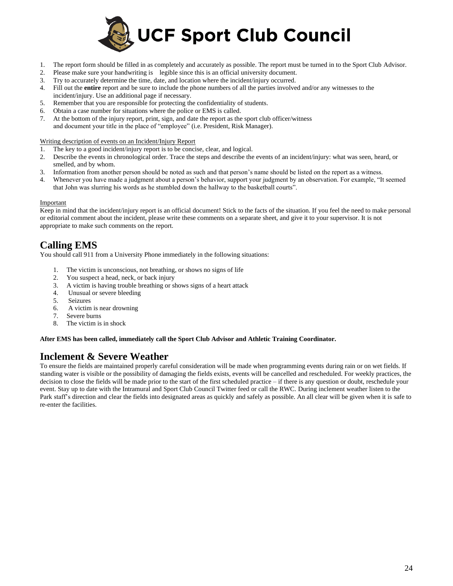

- 1. The report form should be filled in as completely and accurately as possible. The report must be turned in to the Sport Club Advisor.
- 2. Please make sure your handwriting is legible since this is an official university document.
- 3. Try to accurately determine the time, date, and location where the incident/injury occurred.
- 4. Fill out the **entire** report and be sure to include the phone numbers of all the parties involved and/or any witnesses to the incident/injury. Use an additional page if necessary.
- 5. Remember that you are responsible for protecting the confidentiality of students.
- 6. Obtain a case number for situations where the police or EMS is called.
- 7. At the bottom of the injury report, print, sign, and date the report as the sport club officer/witness and document your title in the place of "employee" (i.e. President, Risk Manager).

Writing description of events on an Incident/Injury Report

- 1. The key to a good incident/injury report is to be concise, clear, and logical.
- 2. Describe the events in chronological order. Trace the steps and describe the events of an incident/injury: what was seen, heard, or smelled, and by whom.
- 3. Information from another person should be noted as such and that person's name should be listed on the report as a witness.
- 4. Whenever you have made a judgment about a person's behavior, support your judgment by an observation. For example, "It seemed that John was slurring his words as he stumbled down the hallway to the basketball courts".

#### Important

Keep in mind that the incident/injury report is an official document! Stick to the facts of the situation. If you feel the need to make personal or editorial comment about the incident, please write these comments on a separate sheet, and give it to your supervisor. It is not appropriate to make such comments on the report.

### **Calling EMS**

You should call 911 from a University Phone immediately in the following situations:

- 1. The victim is unconscious, not breathing, or shows no signs of life
- 2. You suspect a head, neck, or back injury
- 3. A victim is having trouble breathing or shows signs of a heart attack
- 4. Unusual or severe bleeding
- 5. Seizures
- 6. A victim is near drowning
- 7. Severe burns
- 8. The victim is in shock

#### **After EMS has been called, immediately call the Sport Club Advisor and Athletic Training Coordinator.**

### **Inclement & Severe Weather**

To ensure the fields are maintained properly careful consideration will be made when programming events during rain or on wet fields. If standing water is visible or the possibility of damaging the fields exists, events will be cancelled and rescheduled. For weekly practices, the decision to close the fields will be made prior to the start of the first scheduled practice – if there is any question or doubt, reschedule your event. Stay up to date with the Intramural and Sport Club Council Twitter feed or call the RWC. During inclement weather listen to the Park staff's direction and clear the fields into designated areas as quickly and safely as possible. An all clear will be given when it is safe to re-enter the facilities.